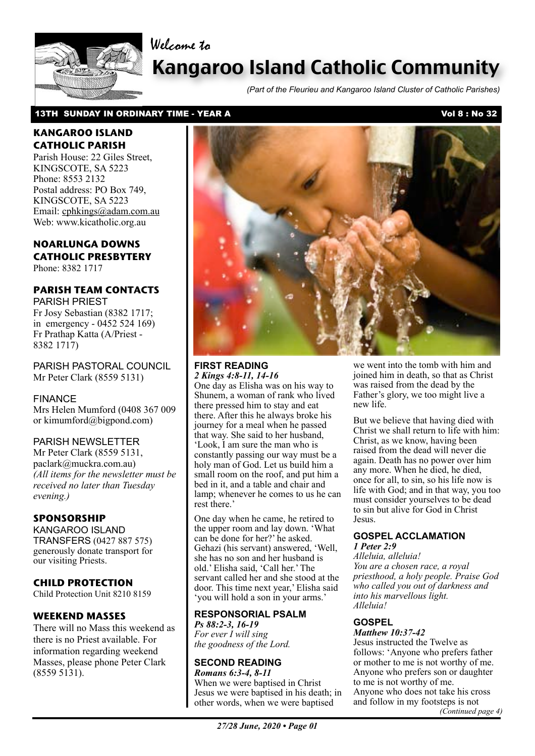## Welcome to



# Kangaroo Island Catholic Community

*(Part of the Fleurieu and Kangaroo Island Cluster of Catholic Parishes)*

## 13TH SUNDAY IN ORDINARY TIME - YEAR A VOLT 8: No 32

## **KANGAROO ISLAND CATHOLIC PARISH**

Parish House: 22 Giles Street, KINGSCOTE, SA 5223 Phone: 8553 2132 Postal address: PO Box 749, KINGSCOTE, SA 5223 Email: cphkings@adam.com.au Web: www.kicatholic.org.au

## **NOARLUNGA DOWNS CATHOLIC PRESBYTERY**

Phone: 8382 1717

# **PARISH TEAM CONTACTS**

PARISH PRIEST Fr Josy Sebastian (8382 1717; in emergency - 0452 524 169) Fr Prathap Katta (A/Priest - 8382 1717)

PARISH PASTORAL COUNCIL Mr Peter Clark (8559 5131)

## FINANCE

Mrs Helen Mumford (0408 367 009 or kimumford@bigpond.com)

## PARISH NEWSLETTER

Mr Peter Clark (8559 5131, paclark@muckra.com.au) *(All items for the newsletter must be received no later than Tuesday evening.)*

## **SPONSORSHIP**

KANGAROO ISLAND TRANSFERS (0427 887 575) generously donate transport for our visiting Priests.

## **CHILD PROTECTION**

Child Protection Unit 8210 8159

## **WEEKEND MASSES**

There will no Mass this weekend as there is no Priest available. For information regarding weekend Masses, please phone Peter Clark (8559 5131).



#### **FIRST READING** *2 Kings 4:8-11, 14-16*

One day as Elisha was on his way to Shunem, a woman of rank who lived there pressed him to stay and eat there. After this he always broke his journey for a meal when he passed that way. She said to her husband, 'Look, I am sure the man who is constantly passing our way must be a holy man of God. Let us build him a small room on the roof, and put him a bed in it, and a table and chair and lamp; whenever he comes to us he can rest there.'

One day when he came, he retired to the upper room and lay down. 'What can be done for her?' he asked. Gehazi (his servant) answered, 'Well, she has no son and her husband is old.' Elisha said, 'Call her.' The servant called her and she stood at the door. This time next year,' Elisha said 'you will hold a son in your arms.'

# **RESPONSORIAL PSALM**

*Ps 88:2-3, 16-19 For ever I will sing the goodness of the Lord.*

## **SECOND READING**

*Romans 6:3-4, 8-11* When we were baptised in Christ Jesus we were baptised in his death; in other words, when we were baptised

we went into the tomb with him and joined him in death, so that as Christ was raised from the dead by the Father's glory, we too might live a new life.

But we believe that having died with Christ we shall return to life with him: Christ, as we know, having been raised from the dead will never die again. Death has no power over him any more. When he died, he died, once for all, to sin, so his life now is life with God; and in that way, you too must consider yourselves to be dead to sin but alive for God in Christ Jesus.

#### **GOSPEL ACCLAMATION** *1 Peter 2:9*

*Alleluia, alleluia! You are a chosen race, a royal priesthood, a holy people. Praise God who called you out of darkness and into his marvellous light. Alleluia!*

## **GOSPEL**

*Matthew 10:37-42* Jesus instructed the Twelve as follows: 'Anyone who prefers father or mother to me is not worthy of me. Anyone who prefers son or daughter to me is not worthy of me. Anyone who does not take his cross and follow in my footsteps is not *(Continued page 4)*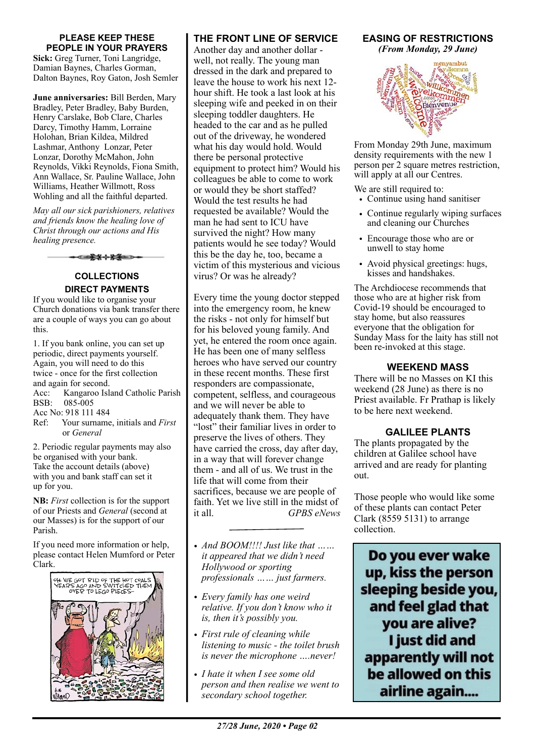#### **PLEASE KEEP THESE PEOPLE IN YOUR PRAYERS**

**Sick:** Greg Turner, Toni Langridge, Damian Baynes, Charles Gorman, Dalton Baynes, Roy Gaton, Josh Semler

**June anniversaries:** Bill Berden, Mary Bradley, Peter Bradley, Baby Burden, Henry Carslake, Bob Clare, Charles Darcy, Timothy Hamm, Lorraine Holohan, Brian Kildea, Mildred Lashmar, Anthony Lonzar, Peter Lonzar, Dorothy McMahon, John Reynolds, Vikki Reynolds, Fiona Smith, Ann Wallace, Sr. Pauline Wallace, John Williams, Heather Willmott, Ross Wohling and all the faithful departed.

*May all our sick parishioners, relatives and friends know the healing love of Christ through our actions and His healing presence.*

▅<del>▓</del>╬╬▓▅⊶

#### **COLLECTIONS DIRECT PAYMENTS**

If you would like to organise your Church donations via bank transfer there are a couple of ways you can go about this.

1. If you bank online, you can set up periodic, direct payments yourself. Again, you will need to do this twice - once for the first collection and again for second. Acc: Kangaroo Island Catholic Parish BSB: 085-005 Acc No: 918 111 484 Ref: Your surname, initials and *First* or *General*

2. Periodic regular payments may also be organised with your bank. Take the account details (above) with you and bank staff can set it up for you.

**NB:** *First* collection is for the support of our Priests and *General* (second at our Masses) is for the support of our Parish.

If you need more information or help, please contact Helen Mumford or Peter Clark.



## **THE FRONT LINE OF SERVICE**

Another day and another dollar well, not really. The young man dressed in the dark and prepared to leave the house to work his next 12 hour shift. He took a last look at his sleeping wife and peeked in on their sleeping toddler daughters. He headed to the car and as he pulled out of the driveway, he wondered what his day would hold. Would there be personal protective equipment to protect him? Would his colleagues be able to come to work or would they be short staffed? Would the test results he had requested be available? Would the man he had sent to ICU have survived the night? How many patients would he see today? Would this be the day he, too, became a victim of this mysterious and vicious virus? Or was he already?

Every time the young doctor stepped into the emergency room, he knew the risks - not only for himself but for his beloved young family. And yet, he entered the room once again. He has been one of many selfless heroes who have served our country in these recent months. These first responders are compassionate, competent, selfless, and courageous and we will never be able to adequately thank them. They have "lost" their familiar lives in order to preserve the lives of others. They have carried the cross, day after day, in a way that will forever change them - and all of us. We trust in the life that will come from their sacrifices, because we are people of faith. Yet we live still in the midst of it all. *GPBS eNews*

- *• And BOOM!!!! Just like that …… it appeared that we didn't need Hollywood or sporting professionals …… just farmers.*
- *• Every family has one weird relative. If you don't know who it is, then it's possibly you.*
- *• First rule of cleaning while listening to music - the toilet brush is never the microphone ….never!*
- *• I hate it when I see some old person and then realise we went to secondary school together.*

# **EASING OF RESTRICTIONS**





From Monday 29th June, maximum density requirements with the new 1 person per 2 square metres restriction, will apply at all our Centres.

We are still required to:

- Continue using hand sanitiser
- Continue regularly wiping surfaces and cleaning our Churches
- Encourage those who are or unwell to stay home
- Avoid physical greetings: hugs, kisses and handshakes.

The Archdiocese recommends that those who are at higher risk from Covid-19 should be encouraged to stay home, but also reassures everyone that the obligation for Sunday Mass for the laity has still not been re-invoked at this stage.

## **WEEKEND MASS**

There will be no Masses on KI this weekend (28 June) as there is no Priest available. Fr Prathap is likely to be here next weekend.

## **GALILEE PLANTS**

The plants propagated by the children at Galilee school have arrived and are ready for planting out.

Those people who would like some of these plants can contact Peter Clark (8559 5131) to arrange collection.

Do you ever wake up, kiss the person sleeping beside you, and feel glad that you are alive? I just did and apparently will not be allowed on this airline again....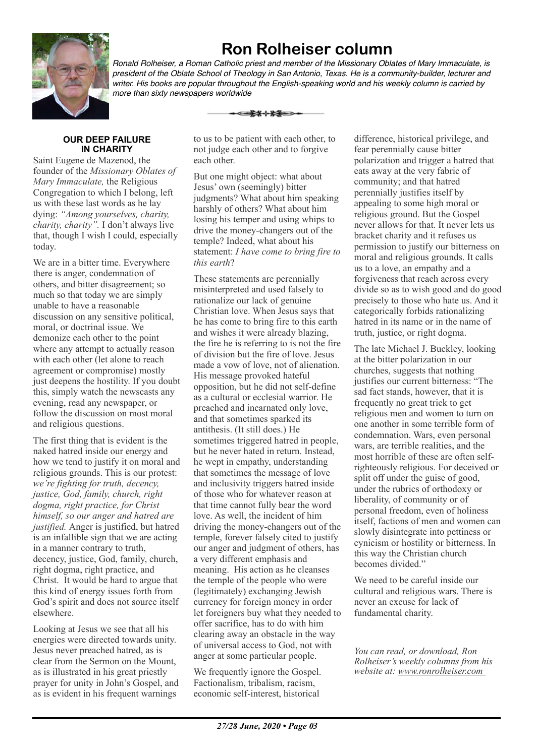# **Ron Rolheiser column**



*Ronald Rolheiser, a Roman Catholic priest and member of the Missionary Oblates of Mary Immaculate, is president of the Oblate School of Theology in San Antonio, Texas. He is a community-builder, lecturer and writer. His books are popular throughout the English-speaking world and his weekly column is carried by more than sixty newspapers worldwide*

#### **OUR DEEP FAILURE IN CHARITY**

Saint Eugene de Mazenod, the founder of the *Missionary Oblates of Mary Immaculate,* the Religious Congregation to which I belong, left us with these last words as he lay dying: *"Among yourselves, charity, charity, charity".* I don't always live that, though I wish I could, especially today.

We are in a bitter time. Everywhere there is anger, condemnation of others, and bitter disagreement; so much so that today we are simply unable to have a reasonable discussion on any sensitive political, moral, or doctrinal issue. We demonize each other to the point where any attempt to actually reason with each other (let alone to reach agreement or compromise) mostly just deepens the hostility. If you doubt this, simply watch the newscasts any evening, read any newspaper, or follow the discussion on most moral and religious questions.

The first thing that is evident is the naked hatred inside our energy and how we tend to justify it on moral and religious grounds. This is our protest: *we're fighting for truth, decency, justice, God, family, church, right dogma, right practice, for Christ himself, so our anger and hatred are justified.* Anger is justified, but hatred is an infallible sign that we are acting in a manner contrary to truth, decency, justice, God, family, church, right dogma, right practice, and Christ. It would be hard to argue that this kind of energy issues forth from God's spirit and does not source itself elsewhere.

Looking at Jesus we see that all his energies were directed towards unity. Jesus never preached hatred, as is clear from the Sermon on the Mount, as is illustrated in his great priestly prayer for unity in John's Gospel, and as is evident in his frequent warnings

to us to be patient with each other, to not judge each other and to forgive each other.

</u>

But one might object: what about Jesus' own (seemingly) bitter judgments? What about him speaking harshly of others? What about him losing his temper and using whips to drive the money-changers out of the temple? Indeed, what about his statement: *I have come to bring fire to this earth*?

These statements are perennially misinterpreted and used falsely to rationalize our lack of genuine Christian love. When Jesus says that he has come to bring fire to this earth and wishes it were already blazing, the fire he is referring to is not the fire of division but the fire of love. Jesus made a vow of love, not of alienation. His message provoked hateful opposition, but he did not self-define as a cultural or ecclesial warrior. He preached and incarnated only love, and that sometimes sparked its antithesis. (It still does.) He sometimes triggered hatred in people, but he never hated in return. Instead, he wept in empathy, understanding that sometimes the message of love and inclusivity triggers hatred inside of those who for whatever reason at that time cannot fully bear the word love. As well, the incident of him driving the money-changers out of the temple, forever falsely cited to justify our anger and judgment of others, has a very different emphasis and meaning. His action as he cleanses the temple of the people who were (legitimately) exchanging Jewish currency for foreign money in order let foreigners buy what they needed to offer sacrifice, has to do with him clearing away an obstacle in the way of universal access to God, not with anger at some particular people.

We frequently ignore the Gospel. Factionalism, tribalism, racism, economic self-interest, historical

difference, historical privilege, and fear perennially cause bitter polarization and trigger a hatred that eats away at the very fabric of community; and that hatred perennially justifies itself by appealing to some high moral or religious ground. But the Gospel never allows for that. It never lets us bracket charity and it refuses us permission to justify our bitterness on moral and religious grounds. It calls us to a love, an empathy and a forgiveness that reach across every divide so as to wish good and do good precisely to those who hate us. And it categorically forbids rationalizing hatred in its name or in the name of truth, justice, or right dogma.

The late Michael J. Buckley, looking at the bitter polarization in our churches, suggests that nothing justifies our current bitterness: "The sad fact stands, however, that it is frequently no great trick to get religious men and women to turn on one another in some terrible form of condemnation. Wars, even personal wars, are terrible realities, and the most horrible of these are often selfrighteously religious. For deceived or split off under the guise of good, under the rubrics of orthodoxy or liberality, of community or of personal freedom, even of holiness itself, factions of men and women can slowly disintegrate into pettiness or cynicism or hostility or bitterness. In this way the Christian church becomes divided."

We need to be careful inside our cultural and religious wars. There is never an excuse for lack of fundamental charity.

*You can read, or download, Ron Rolheiser's weekly columns from his website at: www.ronrolheiser.com*